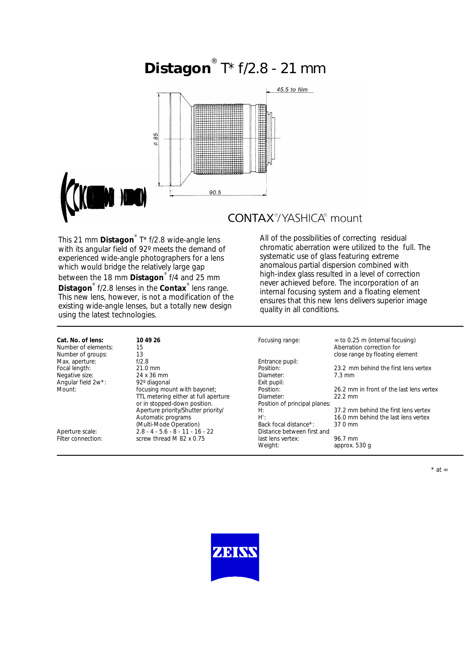# **Distagon** ® T\* f/2.8 - 21 mm



## **CONTAX®YASHICA®** mount

This 21 mm **Distagon**® T\* f/2.8 wide-angle lens with its angular field of 92º meets the demand of experienced wide-angle photographers for a lens which would bridge the relatively large gap between the 18 mm **Distagon**® f/4 and 25 mm **Distagon**® f/2.8 lenses in the **Contax**® lens range. This new lens, however, is not a modification of the existing wide-angle lenses, but a totally new design using the latest technologies.

All of the possibilities of correcting residual chromatic aberration were utilized to the full. The systematic use of glass featuring extreme anomalous partial dispersion combined with high-index glass resulted in a level of correction never achieved before. The incorporation of an internal focusing system and a floating element ensures that this new lens delivers superior image quality in all conditions.

| Cat. No. of lens:   | 10 49 26                             | Focusing range:               | $\approx$ to 0.25 m (internal focusing)  |
|---------------------|--------------------------------------|-------------------------------|------------------------------------------|
| Number of elements: |                                      |                               | Aberration correction for                |
|                     | 15                                   |                               |                                          |
| Number of groups:   | 13                                   |                               | close range by floating element          |
| Max. aperture:      | f/2.8                                | Entrance pupil:               |                                          |
| Focal length:       | 21.0 mm                              | Position:                     | 23.2 mm behind the first lens vertex     |
| Negative size:      | 24 x 36 mm                           | Diameter:                     | $7.3 \text{ mm}$                         |
| Angular field 2w*:  | 92° diagonal                         | Exit pupil:                   |                                          |
| Mount:              | focusing mount with bayonet;         | Position:                     | 26.2 mm in front of the last lens vertex |
|                     | TTL metering either at full aperture | Diameter:                     | $22.2$ mm                                |
|                     | or in stopped-down position.         | Position of principal planes: |                                          |
|                     | Aperture priority/Shutter priority/  | H:                            | 37.2 mm behind the first lens vertex     |
|                     | Automatic programs                   | $H^{\prime}$ :                | 16.0 mm behind the last lens vertex      |
|                     | (Multi-Mode Operation)               | Back focal distance*:         | 37.0 mm                                  |
| Aperture scale:     | $2.8 - 4 - 5.6 - 8 - 11 - 16 - 22$   | Distance between first and    |                                          |
| Filter connection:  | screw thread M 82 x 0.75             | last lens vertex:             | 96.7 mm                                  |
|                     |                                      | Weight:                       | approx. 530 g                            |



\* at ∞